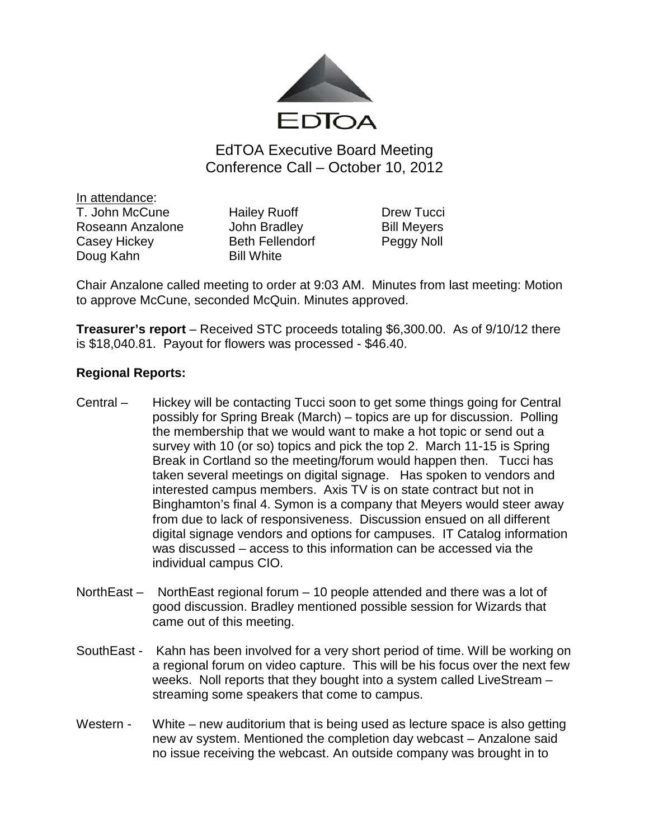

EdTOA Executive Board Meeting Conference Call – October 10, 2012

<u>In attendance</u>: T. John McCune Hailey Ruoff Drew Tucci Roseann Anzalone John Bradley Bill Meyers Casey Hickey Beth Fellendorf Peggy Noll Doug Kahn Bill White

Chair Anzalone called meeting to order at 9:03 AM. Minutes from last meeting: Motion to approve McCune, seconded McQuin. Minutes approved.

**Treasurer's report** – Received STC proceeds totaling \$6,300.00. As of 9/10/12 there is \$18,040.81. Payout for flowers was processed - \$46.40.

## **Regional Reports:**

- Central Hickey will be contacting Tucci soon to get some things going for Central possibly for Spring Break (March) – topics are up for discussion. Polling the membership that we would want to make a hot topic or send out a survey with 10 (or so) topics and pick the top 2. March 11-15 is Spring Break in Cortland so the meeting/forum would happen then. Tucci has taken several meetings on digital signage. Has spoken to vendors and interested campus members. Axis TV is on state contract but not in Binghamton's final 4. Symon is a company that Meyers would steer away from due to lack of responsiveness. Discussion ensued on all different digital signage vendors and options for campuses. IT Catalog information was discussed – access to this information can be accessed via the individual campus CIO.
- NorthEast NorthEast regional forum 10 people attended and there was a lot of good discussion. Bradley mentioned possible session for Wizards that came out of this meeting.
- SouthEast Kahn has been involved for a very short period of time. Will be working on a regional forum on video capture. This will be his focus over the next few weeks. Noll reports that they bought into a system called LiveStream – streaming some speakers that come to campus.
- Western White new auditorium that is being used as lecture space is also getting new av system. Mentioned the completion day webcast – Anzalone said no issue receiving the webcast. An outside company was brought in to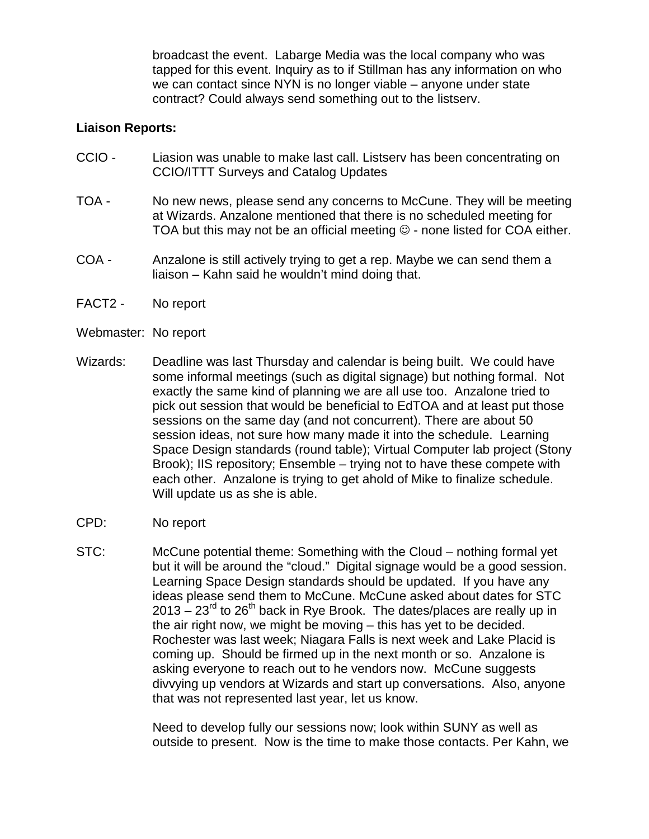broadcast the event. Labarge Media was the local company who was tapped for this event. Inquiry as to if Stillman has any information on who we can contact since NYN is no longer viable – anyone under state contract? Could always send something out to the listserv.

## **Liaison Reports:**

- CCIO Liasion was unable to make last call. Listserv has been concentrating on CCIO/ITTT Surveys and Catalog Updates
- TOA No new news, please send any concerns to McCune. They will be meeting at Wizards. Anzalone mentioned that there is no scheduled meeting for TOA but this may not be an official meeting  $\odot$  - none listed for COA either.
- COA Anzalone is still actively trying to get a rep. Maybe we can send them a liaison – Kahn said he wouldn't mind doing that.
- FACT2 No report
- Webmaster: No report
- Wizards: Deadline was last Thursday and calendar is being built. We could have some informal meetings (such as digital signage) but nothing formal. Not exactly the same kind of planning we are all use too. Anzalone tried to pick out session that would be beneficial to EdTOA and at least put those sessions on the same day (and not concurrent). There are about 50 session ideas, not sure how many made it into the schedule. Learning Space Design standards (round table); Virtual Computer lab project (Stony Brook); IIS repository; Ensemble – trying not to have these compete with each other. Anzalone is trying to get ahold of Mike to finalize schedule. Will update us as she is able.
- CPD: No report
- STC: McCune potential theme: Something with the Cloud nothing formal yet but it will be around the "cloud." Digital signage would be a good session. Learning Space Design standards should be updated. If you have any ideas please send them to McCune. McCune asked about dates for STC  $2013 - 23^{rd}$  to  $26^{th}$  back in Rye Brook. The dates/places are really up in the air right now, we might be moving – this has yet to be decided. Rochester was last week; Niagara Falls is next week and Lake Placid is coming up. Should be firmed up in the next month or so. Anzalone is asking everyone to reach out to he vendors now. McCune suggests divvying up vendors at Wizards and start up conversations. Also, anyone that was not represented last year, let us know.

Need to develop fully our sessions now; look within SUNY as well as outside to present. Now is the time to make those contacts. Per Kahn, we